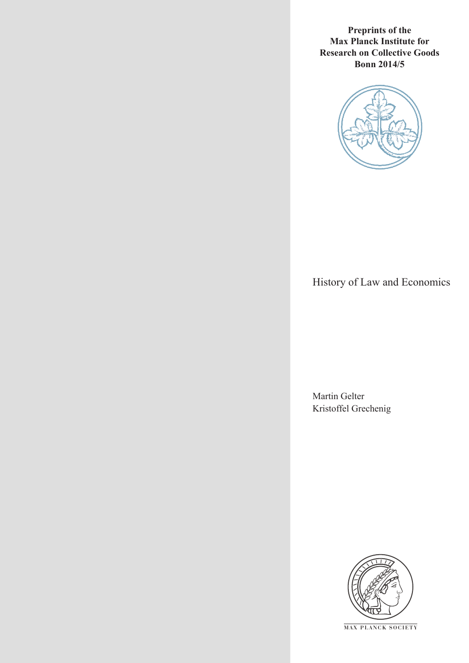**Preprints of the Max Planck Institute for Research on Collective Goods Bonn 2014/5**



## History of Law and Economics

Martin Gelter Kristoffel Grechenig



**M AX PLANCK SOCIETY**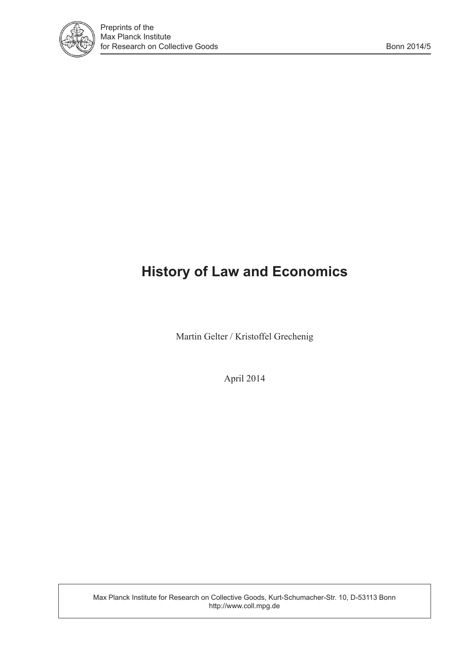

# **History of Law and Economics**

Martin Gelter / Kristoffel Grechenig

April 2014

Max Planck Institute for Research on Collective Goods, Kurt-Schumacher-Str. 10, D-53113 Bonn http://www.coll.mpg.de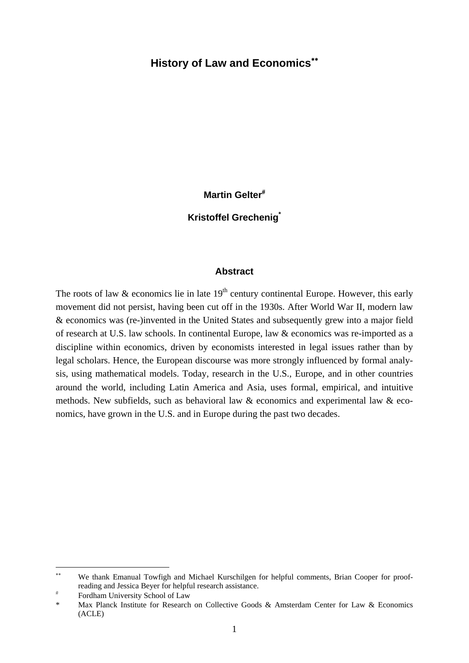#### **History of Law and Economics**

**Martin Gelter**

#### **Kristoffel Grechenig\***

#### **Abstract**

The roots of law  $\&$  economics lie in late  $19<sup>th</sup>$  century continental Europe. However, this early movement did not persist, having been cut off in the 1930s. After World War II, modern law & economics was (re-)invented in the United States and subsequently grew into a major field of research at U.S. law schools. In continental Europe, law & economics was re-imported as a discipline within economics, driven by economists interested in legal issues rather than by legal scholars. Hence, the European discourse was more strongly influenced by formal analysis, using mathematical models. Today, research in the U.S., Europe, and in other countries around the world, including Latin America and Asia, uses formal, empirical, and intuitive methods. New subfields, such as behavioral law & economics and experimental law & economics, have grown in the U.S. and in Europe during the past two decades.

-

We thank Emanual Towfigh and Michael Kurschilgen for helpful comments, Brian Cooper for proofreading and Jessica Beyer for helpful research assistance.

 $\overline{t}$ Fordham University School of Law

Max Planck Institute for Research on Collective Goods & Amsterdam Center for Law & Economics (ACLE)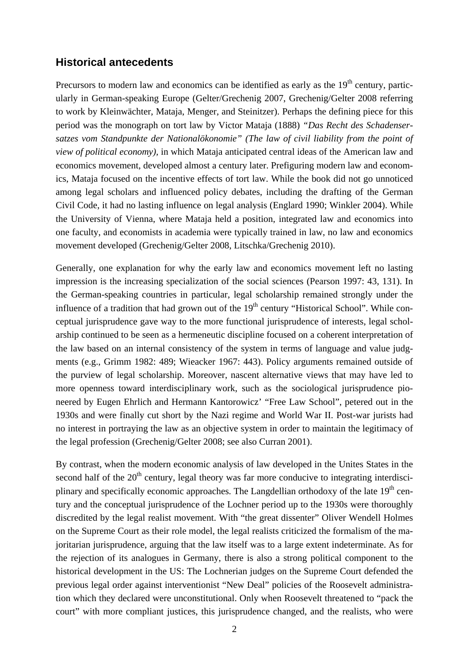## **Historical antecedents**

Precursors to modern law and economics can be identified as early as the 19<sup>th</sup> century, particularly in German-speaking Europe (Gelter/Grechenig 2007, Grechenig/Gelter 2008 referring to work by Kleinwächter, Mataja, Menger, and Steinitzer). Perhaps the defining piece for this period was the monograph on tort law by Victor Mataja (1888) *"Das Recht des Schadensersatzes vom Standpunkte der Nationalökonomie" (The law of civil liability from the point of view of political economy),* in which Mataja anticipated central ideas of the American law and economics movement, developed almost a century later. Prefiguring modern law and economics, Mataja focused on the incentive effects of tort law. While the book did not go unnoticed among legal scholars and influenced policy debates, including the drafting of the German Civil Code, it had no lasting influence on legal analysis (Englard 1990; Winkler 2004). While the University of Vienna, where Mataja held a position, integrated law and economics into one faculty, and economists in academia were typically trained in law, no law and economics movement developed (Grechenig/Gelter 2008, Litschka/Grechenig 2010).

Generally, one explanation for why the early law and economics movement left no lasting impression is the increasing specialization of the social sciences (Pearson 1997: 43, 131). In the German-speaking countries in particular, legal scholarship remained strongly under the influence of a tradition that had grown out of the  $19<sup>th</sup>$  century "Historical School". While conceptual jurisprudence gave way to the more functional jurisprudence of interests, legal scholarship continued to be seen as a hermeneutic discipline focused on a coherent interpretation of the law based on an internal consistency of the system in terms of language and value judgments (e.g., Grimm 1982: 489; Wieacker 1967: 443). Policy arguments remained outside of the purview of legal scholarship. Moreover, nascent alternative views that may have led to more openness toward interdisciplinary work, such as the sociological jurisprudence pioneered by Eugen Ehrlich and Hermann Kantorowicz' "Free Law School", petered out in the 1930s and were finally cut short by the Nazi regime and World War II. Post-war jurists had no interest in portraying the law as an objective system in order to maintain the legitimacy of the legal profession (Grechenig/Gelter 2008; see also Curran 2001).

By contrast, when the modern economic analysis of law developed in the Unites States in the second half of the  $20<sup>th</sup>$  century, legal theory was far more conducive to integrating interdisciplinary and specifically economic approaches. The Langdellian orthodoxy of the late  $19<sup>th</sup>$  century and the conceptual jurisprudence of the Lochner period up to the 1930s were thoroughly discredited by the legal realist movement. With "the great dissenter" Oliver Wendell Holmes on the Supreme Court as their role model, the legal realists criticized the formalism of the majoritarian jurisprudence, arguing that the law itself was to a large extent indeterminate. As for the rejection of its analogues in Germany, there is also a strong political component to the historical development in the US: The Lochnerian judges on the Supreme Court defended the previous legal order against interventionist "New Deal" policies of the Roosevelt administration which they declared were unconstitutional. Only when Roosevelt threatened to "pack the court" with more compliant justices, this jurisprudence changed, and the realists, who were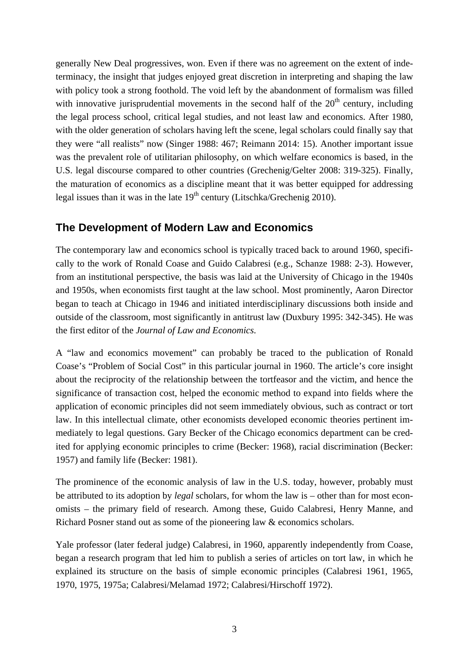generally New Deal progressives, won. Even if there was no agreement on the extent of indeterminacy, the insight that judges enjoyed great discretion in interpreting and shaping the law with policy took a strong foothold. The void left by the abandonment of formalism was filled with innovative jurisprudential movements in the second half of the  $20<sup>th</sup>$  century, including the legal process school, critical legal studies, and not least law and economics. After 1980, with the older generation of scholars having left the scene, legal scholars could finally say that they were "all realists" now (Singer 1988: 467; Reimann 2014: 15). Another important issue was the prevalent role of utilitarian philosophy, on which welfare economics is based, in the U.S. legal discourse compared to other countries (Grechenig/Gelter 2008: 319-325). Finally, the maturation of economics as a discipline meant that it was better equipped for addressing legal issues than it was in the late  $19<sup>th</sup>$  century (Litschka/Grechenig 2010).

### **The Development of Modern Law and Economics**

The contemporary law and economics school is typically traced back to around 1960, specifically to the work of Ronald Coase and Guido Calabresi (e.g., Schanze 1988: 2-3). However, from an institutional perspective, the basis was laid at the University of Chicago in the 1940s and 1950s, when economists first taught at the law school. Most prominently, Aaron Director began to teach at Chicago in 1946 and initiated interdisciplinary discussions both inside and outside of the classroom, most significantly in antitrust law (Duxbury 1995: 342-345). He was the first editor of the *Journal of Law and Economics.*

A "law and economics movement" can probably be traced to the publication of Ronald Coase's "Problem of Social Cost" in this particular journal in 1960. The article's core insight about the reciprocity of the relationship between the tortfeasor and the victim, and hence the significance of transaction cost, helped the economic method to expand into fields where the application of economic principles did not seem immediately obvious, such as contract or tort law. In this intellectual climate, other economists developed economic theories pertinent immediately to legal questions. Gary Becker of the Chicago economics department can be credited for applying economic principles to crime (Becker: 1968), racial discrimination (Becker: 1957) and family life (Becker: 1981).

The prominence of the economic analysis of law in the U.S. today, however, probably must be attributed to its adoption by *legal* scholars, for whom the law is – other than for most economists – the primary field of research. Among these, Guido Calabresi, Henry Manne, and Richard Posner stand out as some of the pioneering law & economics scholars.

Yale professor (later federal judge) Calabresi, in 1960, apparently independently from Coase, began a research program that led him to publish a series of articles on tort law, in which he explained its structure on the basis of simple economic principles (Calabresi 1961, 1965, 1970, 1975, 1975a; Calabresi/Melamad 1972; Calabresi/Hirschoff 1972).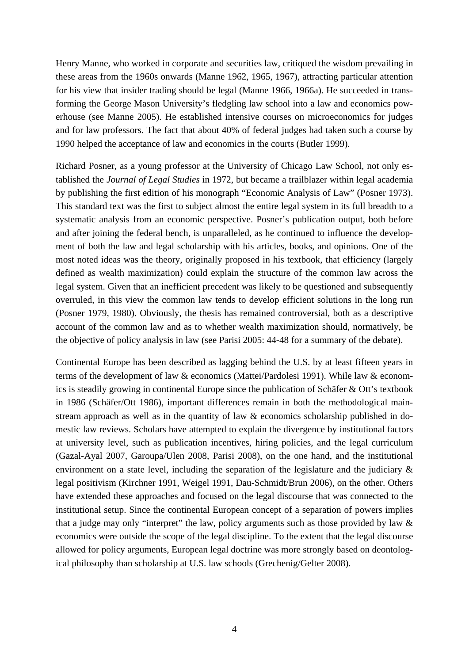Henry Manne, who worked in corporate and securities law, critiqued the wisdom prevailing in these areas from the 1960s onwards (Manne 1962, 1965, 1967), attracting particular attention for his view that insider trading should be legal (Manne 1966, 1966a). He succeeded in transforming the George Mason University's fledgling law school into a law and economics powerhouse (see Manne 2005). He established intensive courses on microeconomics for judges and for law professors. The fact that about 40% of federal judges had taken such a course by 1990 helped the acceptance of law and economics in the courts (Butler 1999).

Richard Posner, as a young professor at the University of Chicago Law School, not only established the *Journal of Legal Studies* in 1972, but became a trailblazer within legal academia by publishing the first edition of his monograph "Economic Analysis of Law" (Posner 1973). This standard text was the first to subject almost the entire legal system in its full breadth to a systematic analysis from an economic perspective. Posner's publication output, both before and after joining the federal bench, is unparalleled, as he continued to influence the development of both the law and legal scholarship with his articles, books, and opinions. One of the most noted ideas was the theory, originally proposed in his textbook, that efficiency (largely defined as wealth maximization) could explain the structure of the common law across the legal system. Given that an inefficient precedent was likely to be questioned and subsequently overruled, in this view the common law tends to develop efficient solutions in the long run (Posner 1979, 1980). Obviously, the thesis has remained controversial, both as a descriptive account of the common law and as to whether wealth maximization should, normatively, be the objective of policy analysis in law (see Parisi 2005: 44-48 for a summary of the debate).

Continental Europe has been described as lagging behind the U.S. by at least fifteen years in terms of the development of law & economics (Mattei/Pardolesi 1991). While law & economics is steadily growing in continental Europe since the publication of Schäfer & Ott's textbook in 1986 (Schäfer/Ott 1986), important differences remain in both the methodological mainstream approach as well as in the quantity of law & economics scholarship published in domestic law reviews. Scholars have attempted to explain the divergence by institutional factors at university level, such as publication incentives, hiring policies, and the legal curriculum (Gazal-Ayal 2007, Garoupa/Ulen 2008, Parisi 2008), on the one hand, and the institutional environment on a state level, including the separation of the legislature and the judiciary & legal positivism (Kirchner 1991, Weigel 1991, Dau-Schmidt/Brun 2006), on the other. Others have extended these approaches and focused on the legal discourse that was connected to the institutional setup. Since the continental European concept of a separation of powers implies that a judge may only "interpret" the law, policy arguments such as those provided by law & economics were outside the scope of the legal discipline. To the extent that the legal discourse allowed for policy arguments, European legal doctrine was more strongly based on deontological philosophy than scholarship at U.S. law schools (Grechenig/Gelter 2008).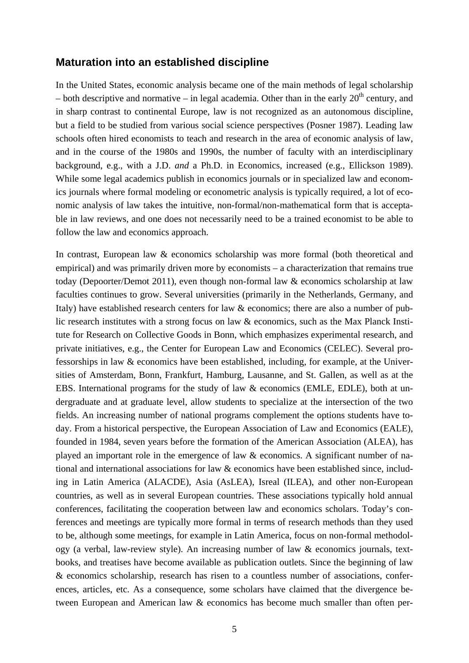#### **Maturation into an established discipline**

In the United States, economic analysis became one of the main methods of legal scholarship – both descriptive and normative – in legal academia. Other than in the early  $20<sup>th</sup>$  century, and in sharp contrast to continental Europe, law is not recognized as an autonomous discipline, but a field to be studied from various social science perspectives (Posner 1987). Leading law schools often hired economists to teach and research in the area of economic analysis of law, and in the course of the 1980s and 1990s, the number of faculty with an interdisciplinary background, e.g., with a J.D. *and* a Ph.D. in Economics, increased (e.g., Ellickson 1989). While some legal academics publish in economics journals or in specialized law and economics journals where formal modeling or econometric analysis is typically required, a lot of economic analysis of law takes the intuitive, non-formal/non-mathematical form that is acceptable in law reviews, and one does not necessarily need to be a trained economist to be able to follow the law and economics approach.

In contrast, European law & economics scholarship was more formal (both theoretical and empirical) and was primarily driven more by economists – a characterization that remains true today (Depoorter/Demot 2011), even though non-formal law & economics scholarship at law faculties continues to grow. Several universities (primarily in the Netherlands, Germany, and Italy) have established research centers for law & economics; there are also a number of public research institutes with a strong focus on law & economics, such as the Max Planck Institute for Research on Collective Goods in Bonn, which emphasizes experimental research, and private initiatives, e.g., the Center for European Law and Economics (CELEC). Several professorships in law & economics have been established, including, for example, at the Universities of Amsterdam, Bonn, Frankfurt, Hamburg, Lausanne, and St. Gallen, as well as at the EBS. International programs for the study of law & economics (EMLE, EDLE), both at undergraduate and at graduate level, allow students to specialize at the intersection of the two fields. An increasing number of national programs complement the options students have today. From a historical perspective, the European Association of Law and Economics (EALE), founded in 1984, seven years before the formation of the American Association (ALEA), has played an important role in the emergence of law & economics. A significant number of national and international associations for law & economics have been established since, including in Latin America (ALACDE), Asia (AsLEA), Isreal (ILEA), and other non-European countries, as well as in several European countries. These associations typically hold annual conferences, facilitating the cooperation between law and economics scholars. Today's conferences and meetings are typically more formal in terms of research methods than they used to be, although some meetings, for example in Latin America, focus on non-formal methodology (a verbal, law-review style). An increasing number of law & economics journals, textbooks, and treatises have become available as publication outlets. Since the beginning of law & economics scholarship, research has risen to a countless number of associations, conferences, articles, etc. As a consequence, some scholars have claimed that the divergence between European and American law & economics has become much smaller than often per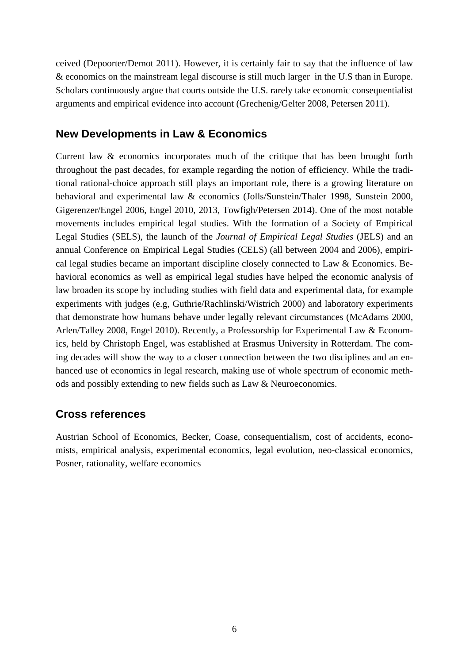ceived (Depoorter/Demot 2011). However, it is certainly fair to say that the influence of law & economics on the mainstream legal discourse is still much larger in the U.S than in Europe. Scholars continuously argue that courts outside the U.S. rarely take economic consequentialist arguments and empirical evidence into account (Grechenig/Gelter 2008, Petersen 2011).

## **New Developments in Law & Economics**

Current law & economics incorporates much of the critique that has been brought forth throughout the past decades, for example regarding the notion of efficiency. While the traditional rational-choice approach still plays an important role, there is a growing literature on behavioral and experimental law & economics (Jolls/Sunstein/Thaler 1998, Sunstein 2000, Gigerenzer/Engel 2006, Engel 2010, 2013, Towfigh/Petersen 2014). One of the most notable movements includes empirical legal studies. With the formation of a Society of Empirical Legal Studies (SELS), the launch of the *Journal of Empirical Legal Studies* (JELS) and an annual Conference on Empirical Legal Studies (CELS) (all between 2004 and 2006), empirical legal studies became an important discipline closely connected to Law & Economics. Behavioral economics as well as empirical legal studies have helped the economic analysis of law broaden its scope by including studies with field data and experimental data, for example experiments with judges (e.g, Guthrie/Rachlinski/Wistrich 2000) and laboratory experiments that demonstrate how humans behave under legally relevant circumstances (McAdams 2000, Arlen/Talley 2008, Engel 2010). Recently, a Professorship for Experimental Law & Economics, held by Christoph Engel, was established at Erasmus University in Rotterdam. The coming decades will show the way to a closer connection between the two disciplines and an enhanced use of economics in legal research, making use of whole spectrum of economic methods and possibly extending to new fields such as Law & Neuroeconomics.

## **Cross references**

Austrian School of Economics, Becker, Coase, consequentialism, cost of accidents, economists, empirical analysis, experimental economics, legal evolution, neo-classical economics, Posner, rationality, welfare economics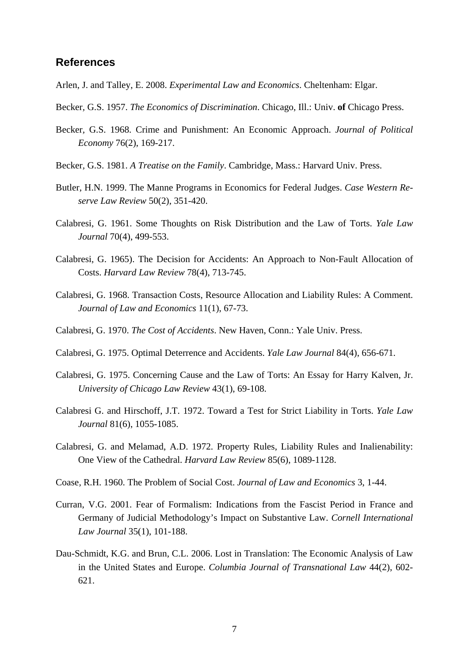#### **References**

- Arlen, J. and Talley, E. 2008. *Experimental Law and Economics*. Cheltenham: Elgar.
- Becker*,* G.S. 1957. *The Economics of Discrimination*. Chicago, Ill.: Univ. **of** Chicago Press.
- Becker*,* G.S. 1968. Crime and Punishment: An Economic Approach. *Journal of Political Economy* 76(2), 169-217.
- Becker*,* G.S. 1981. *A Treatise on the Family*. Cambridge, Mass.: Harvard Univ. Press.
- Butler, H.N. 1999. The Manne Programs in Economics for Federal Judges. *Case Western Reserve Law Review* 50(2), 351-420.
- Calabresi, G. 1961. Some Thoughts on Risk Distribution and the Law of Torts. *Yale Law Journal* 70(4), 499-553.
- Calabresi, G. 1965). The Decision for Accidents: An Approach to Non-Fault Allocation of Costs. *Harvard Law Review* 78(4), 713-745.
- Calabresi, G. 1968. Transaction Costs, Resource Allocation and Liability Rules: A Comment. *Journal of Law and Economics* 11(1), 67-73.
- Calabresi, G. 1970. *The Cost of Accidents*. New Haven, Conn.: Yale Univ. Press.
- Calabresi, G. 1975. Optimal Deterrence and Accidents. *Yale Law Journal* 84(4), 656-671.
- Calabresi, G. 1975. Concerning Cause and the Law of Torts: An Essay for Harry Kalven, Jr. *University of Chicago Law Review* 43(1), 69-108.
- Calabresi G. and Hirschoff, J.T. 1972. Toward a Test for Strict Liability in Torts. *Yale Law Journal* 81(6), 1055-1085.
- Calabresi, G. and Melamad, A.D. 1972. Property Rules, Liability Rules and Inalienability: One View of the Cathedral. *Harvard Law Review* 85(6), 1089-1128.
- Coase*,* R.H. 1960. The Problem of Social Cost. *Journal of Law and Economics* 3, 1-44.
- Curran, V.G. 2001. Fear of Formalism: Indications from the Fascist Period in France and Germany of Judicial Methodology's Impact on Substantive Law. *Cornell International Law Journal* 35(1), 101-188.
- Dau-Schmidt, K.G. and Brun, C.L. 2006. Lost in Translation: The Economic Analysis of Law in the United States and Europe. *Columbia Journal of Transnational Law* 44(2), 602- 621.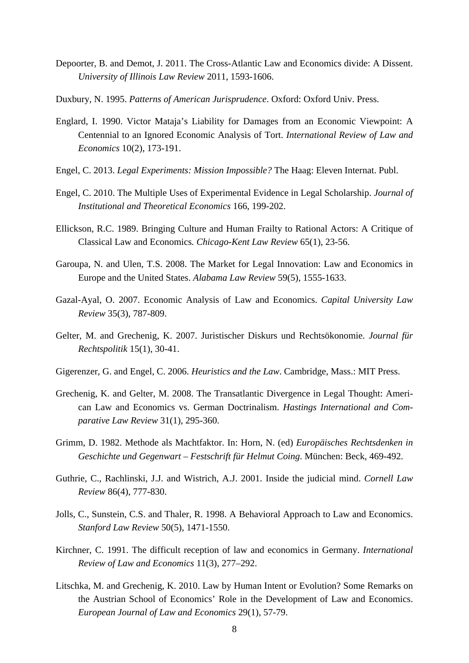- Depoorter, B. and Demot, J. 2011. The Cross-Atlantic Law and Economics divide: A Dissent. *University of Illinois Law Review* 2011, 1593-1606.
- Duxbury, N. 1995. *Patterns of American Jurisprudence*. Oxford: Oxford Univ. Press.
- Englard, I. 1990. Victor Mataja's Liability for Damages from an Economic Viewpoint: A Centennial to an Ignored Economic Analysis of Tort. *International Review of Law and Economics* 10(2), 173-191.
- Engel, C. 2013. *Legal Experiments: Mission Impossible?* The Haag: Eleven Internat. Publ.
- Engel, C. 2010. The Multiple Uses of Experimental Evidence in Legal Scholarship. *Journal of Institutional and Theoretical Economics* 166, 199-202.
- Ellickson*,* R.C. 1989. Bringing Culture and Human Frailty to Rational Actors: A Critique of Classical Law and Economics*. Chicago-Kent Law Review* 65(1), 23-56.
- Garoupa, N. and Ulen, T.S. 2008. The Market for Legal Innovation: Law and Economics in Europe and the United States. *Alabama Law Review* 59(5), 1555-1633.
- Gazal-Ayal, O. 2007. Economic Analysis of Law and Economics. *Capital University Law Review* 35(3), 787-809.
- Gelter, M. and Grechenig, K. 2007. Juristischer Diskurs und Rechtsökonomie. *Journal für Rechtspolitik* 15(1), 30-41.
- Gigerenzer, G. and Engel, C. 2006. *Heuristics and the Law*. Cambridge, Mass.: MIT Press.
- Grechenig, K. and Gelter, M. 2008. The Transatlantic Divergence in Legal Thought: American Law and Economics vs. German Doctrinalism. *Hastings International and Comparative Law Review* 31(1), 295-360.
- Grimm, D. 1982. Methode als Machtfaktor. In: Horn, N. (ed) *Europäisches Rechtsdenken in Geschichte und Gegenwart – Festschrift für Helmut Coing*. München: Beck, 469-492.
- Guthrie, C., Rachlinski, J.J. and Wistrich, A.J. 2001. Inside the judicial mind. *Cornell Law Review* 86(4), 777-830.
- Jolls, C., Sunstein, C.S. and Thaler, R. 1998. A Behavioral Approach to Law and Economics. *Stanford Law Review* 50(5), 1471-1550.
- Kirchner, C. 1991. The difficult reception of law and economics in Germany. *International Review of Law and Economics* 11(3), 277–292.
- Litschka, M. and Grechenig, K. 2010. Law by Human Intent or Evolution? Some Remarks on the Austrian School of Economics' Role in the Development of Law and Economics. *European Journal of Law and Economics* 29(1), 57-79.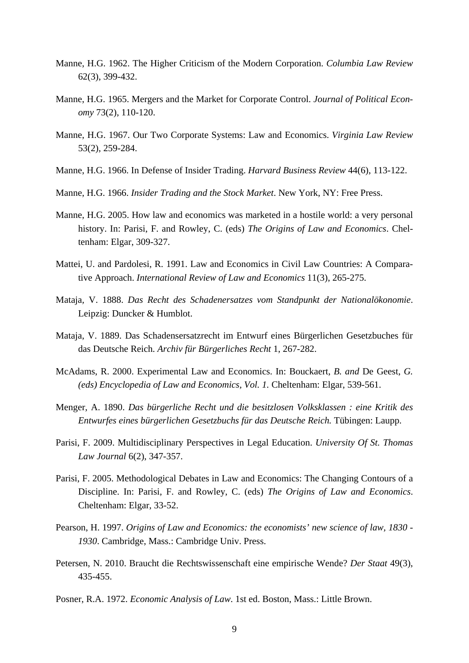- Manne, H.G. 1962. The Higher Criticism of the Modern Corporation. *Columbia Law Review*  62(3), 399-432.
- Manne, H.G. 1965. Mergers and the Market for Corporate Control. *Journal of Political Economy* 73(2), 110-120.
- Manne, H.G. 1967. Our Two Corporate Systems: Law and Economics. *Virginia Law Review*  53(2), 259-284.
- Manne, H.G. 1966. In Defense of Insider Trading. *Harvard Business Review* 44(6), 113-122.
- Manne, H.G. 1966. *Insider Trading and the Stock Market*. New York, NY: Free Press.
- Manne, H.G. 2005. How law and economics was marketed in a hostile world: a very personal history. In: Parisi, F. and Rowley, C. (eds) *The Origins of Law and Economics*. Cheltenham: Elgar, 309-327.
- Mattei, U. and Pardolesi, R. 1991. Law and Economics in Civil Law Countries: A Comparative Approach. *International Review of Law and Economics* 11(3), 265-275.
- Mataja*,* V. 1888. *Das Recht des Schadenersatzes vom Standpunkt der Nationalökonomie*. Leipzig: Duncker & Humblot.
- Mataja, V. 1889. Das Schadensersatzrecht im Entwurf eines Bürgerlichen Gesetzbuches für das Deutsche Reich. *Archiv für Bürgerliches Recht* 1, 267-282.
- McAdams, R. 2000. Experimental Law and Economics. In: Bouckaert, *B. and* De Geest, *G. (eds) Encyclopedia of Law and Economics, Vol. 1.* Cheltenham: Elgar, 539-561.
- Menger, A. 1890. *Das bürgerliche Recht und die besitzlosen Volksklassen : eine Kritik des Entwurfes eines bürgerlichen Gesetzbuchs für das Deutsche Reich.* Tübingen: Laupp.
- Parisi, F. 2009. Multidisciplinary Perspectives in Legal Education. *University Of St. Thomas Law Journal* 6(2), 347-357.
- Parisi, F. 2005. Methodological Debates in Law and Economics: The Changing Contours of a Discipline. In: Parisi, F. and Rowley, C. (eds) *The Origins of Law and Economics*. Cheltenham: Elgar, 33-52.
- Pearson, H. 1997. *Origins of Law and Economics: the economists' new science of law, 1830 1930*. Cambridge, Mass.: Cambridge Univ. Press.
- Petersen, N. 2010. Braucht die Rechtswissenschaft eine empirische Wende? *Der Staat* 49(3), 435-455.
- Posner, R.A. 1972. *Economic Analysis of Law*. 1st ed. Boston, Mass.: Little Brown.